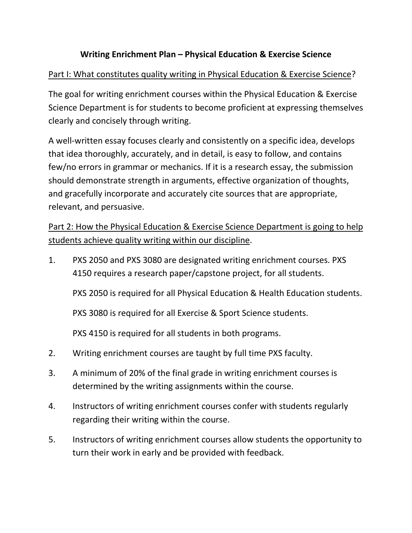## **Writing Enrichment Plan – Physical Education & Exercise Science**

### Part I: What constitutes quality writing in Physical Education & Exercise Science?

The goal for writing enrichment courses within the Physical Education & Exercise Science Department is for students to become proficient at expressing themselves clearly and concisely through writing.

A well-written essay focuses clearly and consistently on a specific idea, develops that idea thoroughly, accurately, and in detail, is easy to follow, and contains few/no errors in grammar or mechanics. If it is a research essay, the submission should demonstrate strength in arguments, effective organization of thoughts, and gracefully incorporate and accurately cite sources that are appropriate, relevant, and persuasive.

# Part 2: How the Physical Education & Exercise Science Department is going to help students achieve quality writing within our discipline.

1. PXS 2050 and PXS 3080 are designated writing enrichment courses. PXS 4150 requires a research paper/capstone project, for all students.

PXS 2050 is required for all Physical Education & Health Education students.

PXS 3080 is required for all Exercise & Sport Science students.

PXS 4150 is required for all students in both programs.

- 2. Writing enrichment courses are taught by full time PXS faculty.
- 3. A minimum of 20% of the final grade in writing enrichment courses is determined by the writing assignments within the course.
- 4. Instructors of writing enrichment courses confer with students regularly regarding their writing within the course.
- 5. Instructors of writing enrichment courses allow students the opportunity to turn their work in early and be provided with feedback.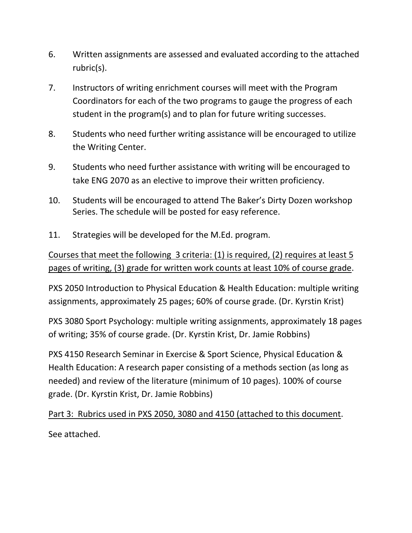- 6. Written assignments are assessed and evaluated according to the attached rubric(s).
- 7. Instructors of writing enrichment courses will meet with the Program Coordinators for each of the two programs to gauge the progress of each student in the program(s) and to plan for future writing successes.
- 8. Students who need further writing assistance will be encouraged to utilize the Writing Center.
- 9. Students who need further assistance with writing will be encouraged to take ENG 2070 as an elective to improve their written proficiency.
- 10. Students will be encouraged to attend The Baker's Dirty Dozen workshop Series. The schedule will be posted for easy reference.
- 11. Strategies will be developed for the M.Ed. program.

Courses that meet the following 3 criteria: (1) is required, (2) requires at least 5 pages of writing, (3) grade for written work counts at least 10% of course grade.

PXS 2050 Introduction to Physical Education & Health Education: multiple writing assignments, approximately 25 pages; 60% of course grade. (Dr. Kyrstin Krist)

PXS 3080 Sport Psychology: multiple writing assignments, approximately 18 pages of writing; 35% of course grade. (Dr. Kyrstin Krist, Dr. Jamie Robbins)

PXS 4150 Research Seminar in Exercise & Sport Science, Physical Education & Health Education: A research paper consisting of a methods section (as long as needed) and review of the literature (minimum of 10 pages). 100% of course grade. (Dr. Kyrstin Krist, Dr. Jamie Robbins)

Part 3: Rubrics used in PXS 2050, 3080 and 4150 (attached to this document. See attached.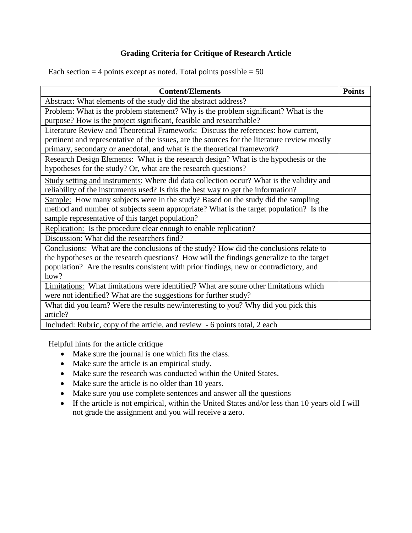#### **Grading Criteria for Critique of Research Article**

Each section  $=$  4 points except as noted. Total points possible  $=$  50

| <b>Content/Elements</b>                                                                                                                                                                                                                                                            | <b>Points</b> |
|------------------------------------------------------------------------------------------------------------------------------------------------------------------------------------------------------------------------------------------------------------------------------------|---------------|
| Abstract: What elements of the study did the abstract address?                                                                                                                                                                                                                     |               |
| Problem: What is the problem statement? Why is the problem significant? What is the<br>purpose? How is the project significant, feasible and researchable?                                                                                                                         |               |
| Literature Review and Theoretical Framework: Discuss the references: how current,<br>pertinent and representative of the issues, are the sources for the literature review mostly<br>primary, secondary or anecdotal, and what is the theoretical framework?                       |               |
| Research Design Elements: What is the research design? What is the hypothesis or the<br>hypotheses for the study? Or, what are the research questions?                                                                                                                             |               |
| Study setting and instruments: Where did data collection occur? What is the validity and<br>reliability of the instruments used? Is this the best way to get the information?                                                                                                      |               |
| Sample: How many subjects were in the study? Based on the study did the sampling<br>method and number of subjects seem appropriate? What is the target population? Is the<br>sample representative of this target population?                                                      |               |
| Replication: Is the procedure clear enough to enable replication?                                                                                                                                                                                                                  |               |
| Discussion: What did the researchers find?                                                                                                                                                                                                                                         |               |
| Conclusions: What are the conclusions of the study? How did the conclusions relate to<br>the hypotheses or the research questions? How will the findings generalize to the target<br>population? Are the results consistent with prior findings, new or contradictory, and<br>how? |               |
| Limitations: What limitations were identified? What are some other limitations which<br>were not identified? What are the suggestions for further study?                                                                                                                           |               |
| What did you learn? Were the results new/interesting to you? Why did you pick this<br>article?                                                                                                                                                                                     |               |
| Included: Rubric, copy of the article, and review - 6 points total, 2 each                                                                                                                                                                                                         |               |

Helpful hints for the article critique

- Make sure the journal is one which fits the class.
- Make sure the article is an empirical study.
- Make sure the research was conducted within the United States.
- Make sure the article is no older than 10 years.
- Make sure you use complete sentences and answer all the questions
- If the article is not empirical, within the United States and/or less than 10 years old I will not grade the assignment and you will receive a zero.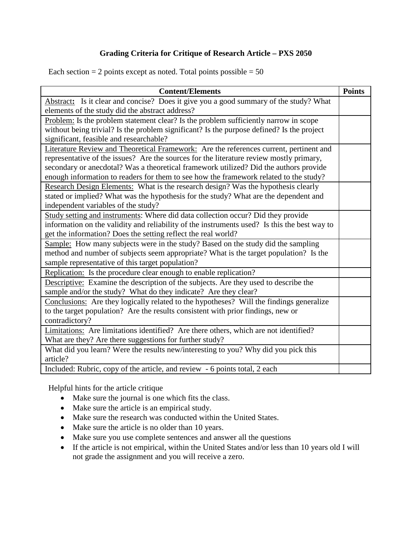#### **Grading Criteria for Critique of Research Article – PXS 2050**

Each section  $= 2$  points except as noted. Total points possible  $= 50$ 

| <b>Content/Elements</b>                                                                      | <b>Points</b> |
|----------------------------------------------------------------------------------------------|---------------|
| Abstract: Is it clear and concise? Does it give you a good summary of the study? What        |               |
| elements of the study did the abstract address?                                              |               |
| Problem: Is the problem statement clear? Is the problem sufficiently narrow in scope         |               |
| without being trivial? Is the problem significant? Is the purpose defined? Is the project    |               |
| significant, feasible and researchable?                                                      |               |
| Literature Review and Theoretical Framework: Are the references current, pertinent and       |               |
| representative of the issues? Are the sources for the literature review mostly primary,      |               |
| secondary or anecdotal? Was a theoretical framework utilized? Did the authors provide        |               |
| enough information to readers for them to see how the framework related to the study?        |               |
| Research Design Elements: What is the research design? Was the hypothesis clearly            |               |
| stated or implied? What was the hypothesis for the study? What are the dependent and         |               |
| independent variables of the study?                                                          |               |
| Study setting and instruments: Where did data collection occur? Did they provide             |               |
| information on the validity and reliability of the instruments used? Is this the best way to |               |
| get the information? Does the setting reflect the real world?                                |               |
| Sample: How many subjects were in the study? Based on the study did the sampling             |               |
| method and number of subjects seem appropriate? What is the target population? Is the        |               |
| sample representative of this target population?                                             |               |
| Replication: Is the procedure clear enough to enable replication?                            |               |
| Descriptive: Examine the description of the subjects. Are they used to describe the          |               |
| sample and/or the study? What do they indicate? Are they clear?                              |               |
| Conclusions: Are they logically related to the hypotheses? Will the findings generalize      |               |
| to the target population? Are the results consistent with prior findings, new or             |               |
| contradictory?                                                                               |               |
| Limitations: Are limitations identified? Are there others, which are not identified?         |               |
| What are they? Are there suggestions for further study?                                      |               |
| What did you learn? Were the results new/interesting to you? Why did you pick this           |               |
| article?                                                                                     |               |
| Included: Rubric, copy of the article, and review - 6 points total, 2 each                   |               |

Helpful hints for the article critique

- Make sure the journal is one which fits the class.
- Make sure the article is an empirical study.
- Make sure the research was conducted within the United States.
- Make sure the article is no older than 10 years.
- Make sure you use complete sentences and answer all the questions
- If the article is not empirical, within the United States and/or less than 10 years old I will not grade the assignment and you will receive a zero.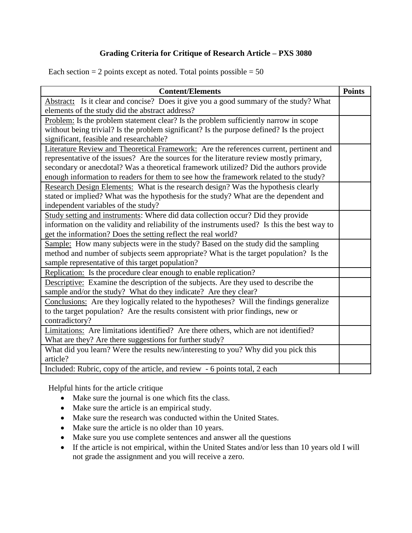#### **Grading Criteria for Critique of Research Article – PXS 3080**

Each section  $= 2$  points except as noted. Total points possible  $= 50$ 

| <b>Content/Elements</b>                                                                      | <b>Points</b> |
|----------------------------------------------------------------------------------------------|---------------|
| Abstract: Is it clear and concise? Does it give you a good summary of the study? What        |               |
| elements of the study did the abstract address?                                              |               |
| Problem: Is the problem statement clear? Is the problem sufficiently narrow in scope         |               |
| without being trivial? Is the problem significant? Is the purpose defined? Is the project    |               |
| significant, feasible and researchable?                                                      |               |
| Literature Review and Theoretical Framework: Are the references current, pertinent and       |               |
| representative of the issues? Are the sources for the literature review mostly primary,      |               |
| secondary or anecdotal? Was a theoretical framework utilized? Did the authors provide        |               |
| enough information to readers for them to see how the framework related to the study?        |               |
| Research Design Elements: What is the research design? Was the hypothesis clearly            |               |
| stated or implied? What was the hypothesis for the study? What are the dependent and         |               |
| independent variables of the study?                                                          |               |
| Study setting and instruments: Where did data collection occur? Did they provide             |               |
| information on the validity and reliability of the instruments used? Is this the best way to |               |
| get the information? Does the setting reflect the real world?                                |               |
| Sample: How many subjects were in the study? Based on the study did the sampling             |               |
| method and number of subjects seem appropriate? What is the target population? Is the        |               |
| sample representative of this target population?                                             |               |
| Replication: Is the procedure clear enough to enable replication?                            |               |
| Descriptive: Examine the description of the subjects. Are they used to describe the          |               |
| sample and/or the study? What do they indicate? Are they clear?                              |               |
| Conclusions: Are they logically related to the hypotheses? Will the findings generalize      |               |
| to the target population? Are the results consistent with prior findings, new or             |               |
| contradictory?                                                                               |               |
| Limitations: Are limitations identified? Are there others, which are not identified?         |               |
| What are they? Are there suggestions for further study?                                      |               |
| What did you learn? Were the results new/interesting to you? Why did you pick this           |               |
| article?                                                                                     |               |
| Included: Rubric, copy of the article, and review - 6 points total, 2 each                   |               |

Helpful hints for the article critique

- Make sure the journal is one which fits the class.
- Make sure the article is an empirical study.
- Make sure the research was conducted within the United States.
- Make sure the article is no older than 10 years.
- Make sure you use complete sentences and answer all the questions
- If the article is not empirical, within the United States and/or less than 10 years old I will not grade the assignment and you will receive a zero.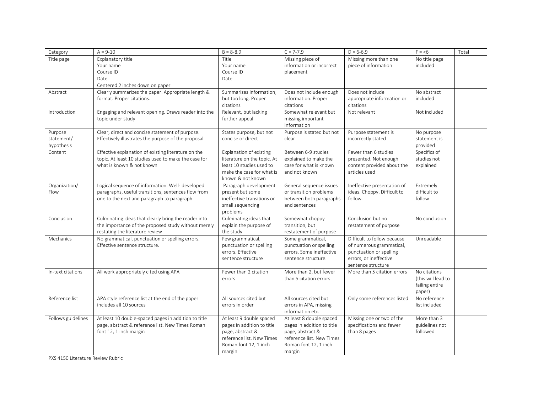| Category           | $A = 9-10$                                           | $B = 8 - 8.9$               | $C = 7-7.9$                | $D = 6-6.9$                 | $F = 6$            | Total |
|--------------------|------------------------------------------------------|-----------------------------|----------------------------|-----------------------------|--------------------|-------|
| Title page         | Explanatory title                                    | Title                       | Missing piece of           | Missing more than one       | No title page      |       |
|                    | Your name                                            | Your name                   | information or incorrect   | piece of information        | included           |       |
|                    | Course ID                                            | Course ID                   | placement                  |                             |                    |       |
|                    | Date                                                 | Date                        |                            |                             |                    |       |
|                    | Centered 2 inches down on paper                      |                             |                            |                             |                    |       |
| Abstract           | Clearly summarizes the paper. Appropriate length &   | Summarizes information,     | Does not include enough    | Does not include            | No abstract        |       |
|                    | format. Proper citations.                            | but too long. Proper        | information. Proper        | appropriate information or  | included           |       |
|                    |                                                      | citations                   | citations                  | citations                   |                    |       |
| Introduction       | Engaging and relevant opening. Draws reader into the | Relevant, but lacking       | Somewhat relevant but      | Not relevant                | Not included       |       |
|                    | topic under study                                    | further appeal              | missing important          |                             |                    |       |
|                    |                                                      |                             | information                |                             |                    |       |
| Purpose            | Clear, direct and concise statement of purpose.      | States purpose, but not     | Purpose is stated but not  | Purpose statement is        | No purpose         |       |
| statement/         | Effectively illustrates the purpose of the proposal  | concise or direct           | clear                      | incorrectly stated          | statement is       |       |
| hypothesis         |                                                      |                             |                            |                             | provided           |       |
| Content            | Effective explanation of existing literature on the  | Explanation of existing     | Between 6-9 studies        | Fewer than 6 studies        | Specifics of       |       |
|                    | topic. At least 10 studies used to make the case for | literature on the topic. At | explained to make the      | presented. Not enough       | studies not        |       |
|                    | what is known & not known                            | least 10 studies used to    | case for what is known     | content provided about the  | explained          |       |
|                    |                                                      | make the case for what is   | and not known              | articles used               |                    |       |
|                    |                                                      | known & not known           |                            |                             |                    |       |
| Organization/      | Logical sequence of information. Well- developed     | Paragraph development       | General sequence issues    | Ineffective presentation of | Extremely          |       |
| Flow               | paragraphs, useful transitions, sentences flow from  | present but some            | or transition problems     | ideas. Choppy. Difficult to | difficult to       |       |
|                    | one to the next and paragraph to paragraph.          | ineffective transitions or  | between both paragraphs    | follow.                     | follow             |       |
|                    |                                                      | small sequencing            | and sentences              |                             |                    |       |
|                    |                                                      | problems                    |                            |                             |                    |       |
| Conclusion         | Culminating ideas that clearly bring the reader into | Culminating ideas that      | Somewhat choppy            | Conclusion but no           | No conclusion      |       |
|                    | the importance of the proposed study without merely  | explain the purpose of      | transition, but            | restatement of purpose      |                    |       |
|                    | restating the literature review                      | the study                   | restatement of purpose     |                             |                    |       |
| Mechanics          | No grammatical, punctuation or spelling errors.      | Few grammatical,            | Some grammatical,          | Difficult to follow because | Unreadable         |       |
|                    | Effective sentence structure.                        | punctuation or spelling     | punctuation or spelling    | of numerous grammatical,    |                    |       |
|                    |                                                      | errors. Effective           | errors. Some ineffective   | punctuation or spelling     |                    |       |
|                    |                                                      | sentence structure          | sentence structure.        | errors, or ineffective      |                    |       |
|                    |                                                      |                             |                            | sentence structure          |                    |       |
| In-text citations  | All work appropriately cited using APA               | Fewer than 2 citation       | More than 2, but fewer     | More than 5 citation errors | No citations       |       |
|                    |                                                      | errors                      | than 5 citation errors     |                             | (this will lead to |       |
|                    |                                                      |                             |                            |                             | failing entire     |       |
|                    |                                                      |                             |                            |                             | paper)             |       |
| Reference list     | APA style reference list at the end of the paper     | All sources cited but       | All sources cited but      | Only some references listed | No reference       |       |
|                    | includes all 10 sources                              | errors in order             | errors in APA, missing     |                             | list included      |       |
|                    |                                                      |                             | information etc.           |                             |                    |       |
| Follows guidelines | At least 10 double-spaced pages in addition to title | At least 9 double spaced    | At least 8 double spaced   | Missing one or two of the   | More than 3        |       |
|                    | page, abstract & reference list. New Times Roman     | pages in addition to title  | pages in addition to title | specifications and fewer    | guidelines not     |       |
|                    | font 12, 1 inch margin                               | page, abstract &            | page, abstract &           | than 8 pages                | followed           |       |
|                    |                                                      | reference list. New Times   | reference list. New Times  |                             |                    |       |
|                    |                                                      | Roman font 12, 1 inch       | Roman font 12, 1 inch      |                             |                    |       |
|                    |                                                      | margin                      | margin                     |                             |                    |       |

PXS 4150 Literature Review Rubric